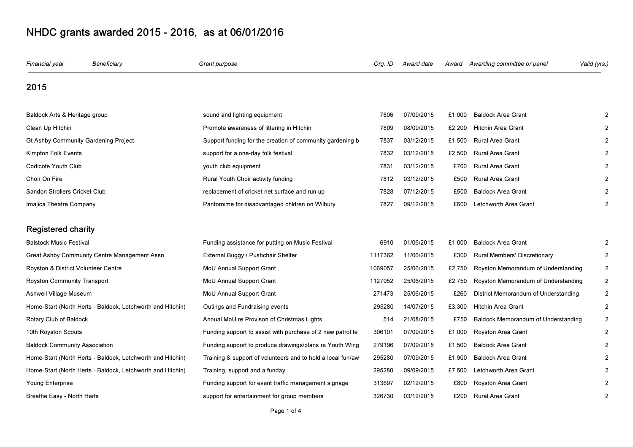| Financial year                       | Beneficiary                                                | Grant purpose                                               | Org. ID | Award date | Award  | Awarding committee or panel          | Valid (yrs.) |
|--------------------------------------|------------------------------------------------------------|-------------------------------------------------------------|---------|------------|--------|--------------------------------------|--------------|
| 2015                                 |                                                            |                                                             |         |            |        |                                      |              |
| Baldock Arts & Heritage group        |                                                            | sound and lighting equipment                                | 7806    | 07/09/2015 | £1,000 | <b>Baldock Area Grant</b>            |              |
| Clean Up Hitchin                     |                                                            | Promote awareness of littering in Hitchin                   | 7809    | 08/09/2015 | £2,200 | <b>Hitchin Area Grant</b>            |              |
| Gt Ashby Community Gardening Project |                                                            | Support funding for the creation of community gardening b   | 7837    | 03/12/2015 | £1,500 | Rural Area Grant                     |              |
| Kimpton Folk Events                  |                                                            | support for a one-day folk festival                         | 7832    | 03/12/2015 | £2,500 | Rural Area Grant                     |              |
| Codicote Youth Club                  |                                                            | youth club equipment                                        | 7831    | 03/12/2015 | £700   | Rural Area Grant                     |              |
| Choir On Fire                        |                                                            | Rural Youth Choir activity funding                          | 7812    | 03/12/2015 | £500   | <b>Rural Area Grant</b>              |              |
| Sandon Strollers Cricket Club        |                                                            | replacement of cricket net surface and run up               | 7828    | 07/12/2015 | £500   | <b>Baldock Area Grant</b>            |              |
| Imajica Theatre Company              |                                                            | Pantomime for disadvantaged chidren on Wilbury              | 7827    | 09/12/2015 | £600   | Letchworth Area Grant                |              |
| <b>Registered charity</b>            |                                                            |                                                             |         |            |        |                                      |              |
| <b>Balstock Music Festival</b>       |                                                            | Funding assistance for putting on Music Festival            | 6910    | 01/06/2015 | £1,000 | <b>Baldock Area Grant</b>            |              |
|                                      | Great Ashby Community Centre Management Assn.              | External Buggy / Pushchair Shelter                          | 1117362 | 11/06/2015 | £300   | Rural Members' Discretionary         |              |
| Royston & District Volunteer Centre  |                                                            | MoU Annual Support Grant                                    | 1069057 | 25/06/2015 | £2,750 | Royston Memorandum of Understanding  |              |
| <b>Royston Community Transport</b>   |                                                            | MoU Annual Support Grant                                    | 1127052 | 25/06/2015 | £2,750 | Royston Memorandum of Understanding  | 2            |
| Ashwell Village Museum               |                                                            | MoU Annual Support Grant                                    | 271473  | 25/06/2015 | £260   | District Memorandum of Understanding |              |
|                                      | Home-Start (North Herts - Baldock, Letchworth and Hitchin) | Outings and Fundraising events                              | 295280  | 14/07/2015 | £3,300 | <b>Hitchin Area Grant</b>            |              |
| Rotary Club of Baldock               |                                                            | Annual MoU re Provison of Christmas Lights                  | 514     | 21/08/2015 | £750   | Baldock Memorandum of Understanding  |              |
| 10th Royston Scouts                  |                                                            | Funding support to assist with purchase of 2 new patrol te  | 306101  | 07/09/2015 | £1,000 | Royston Area Grant                   |              |
| <b>Baldock Community Association</b> |                                                            | Funding support to produce drawings/plans re Youth Wing     | 279196  | 07/09/2015 | £1,500 | <b>Baldock Area Grant</b>            |              |
|                                      | Home-Start (North Herts - Baldock, Letchworth and Hitchin) | Training & support of volunteers and to hold a local fun/aw | 295280  | 07/09/2015 | £1,900 | <b>Baldock Area Grant</b>            |              |
|                                      | Home-Start (North Herts - Baldock, Letchworth and Hitchin) | Training, support and a funday                              | 295280  | 09/09/2015 | £7,500 | Letchworth Area Grant                |              |
| Young Enterprise                     |                                                            | Funding support for event traffic management signage        | 313697  | 02/12/2015 | £800   | Royston Area Grant                   |              |
| Breathe Easy - North Herts           |                                                            | support for entertainment for group members                 | 326730  | 03/12/2015 | £200   | <b>Rural Area Grant</b>              |              |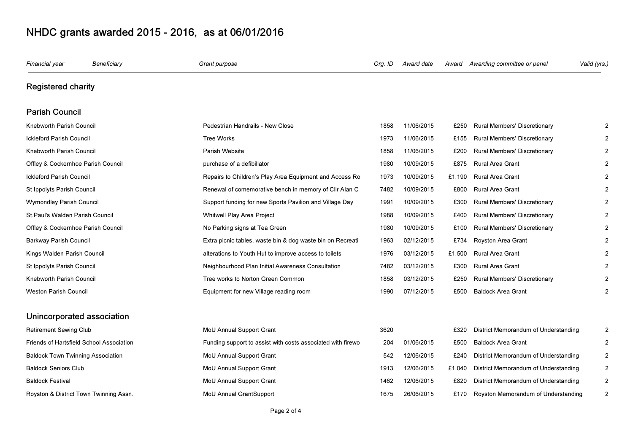| Financial year                           | Beneficiary                              | Grant purpose                                               | Org. ID | Award date | Award  | Awarding committee or panel          | Valid (yrs.)   |
|------------------------------------------|------------------------------------------|-------------------------------------------------------------|---------|------------|--------|--------------------------------------|----------------|
| <b>Registered charity</b>                |                                          |                                                             |         |            |        |                                      |                |
| <b>Parish Council</b>                    |                                          |                                                             |         |            |        |                                      |                |
| Knebworth Parish Council                 |                                          | Pedestrian Handrails - New Close                            | 1858    | 11/06/2015 | £250   | Rural Members' Discretionary         | $\overline{2}$ |
| <b>Ickleford Parish Council</b>          |                                          | <b>Tree Works</b>                                           | 1973    | 11/06/2015 | £155   | Rural Members' Discretionary         | $\overline{2}$ |
| Knebworth Parish Council                 |                                          | Parish Website                                              | 1858    | 11/06/2015 | £200   | <b>Rural Members' Discretionary</b>  | $\overline{2}$ |
| Offley & Cockernhoe Parish Council       |                                          | purchase of a defibillator                                  | 1980    | 10/09/2015 | £875   | <b>Rural Area Grant</b>              | $\overline{2}$ |
| <b>Ickleford Parish Council</b>          |                                          | Repairs to Children's Play Area Equipment and Access Ro     | 1973    | 10/09/2015 | £1,190 | <b>Rural Area Grant</b>              | $\overline{2}$ |
| St Ippolyts Parish Council               |                                          | Renewal of comemorative bench in memory of Cllr Alan C      | 7482    | 10/09/2015 | £800   | <b>Rural Area Grant</b>              | $\mathfrak{p}$ |
| Wymondley Parish Council                 |                                          | Support funding for new Sports Pavilion and Village Day     | 1991    | 10/09/2015 | £300   | Rural Members' Discretionary         | $\overline{2}$ |
| St. Paul's Walden Parish Council         |                                          | Whitwell Play Area Project                                  | 1988    | 10/09/2015 | £400   | Rural Members' Discretionary         | $\overline{2}$ |
| Offley & Cockernhoe Parish Council       |                                          | No Parking signs at Tea Green                               | 1980    | 10/09/2015 | £100   | Rural Members' Discretionary         | 2              |
| Barkway Parish Council                   |                                          | Extra picnic tables, waste bin & dog waste bin on Recreati  | 1963    | 02/12/2015 | £734   | Royston Area Grant                   | $\overline{2}$ |
| Kings Walden Parish Council              |                                          | alterations to Youth Hut to improve access to toilets       | 1976    | 03/12/2015 | £1.500 | <b>Rural Area Grant</b>              | $\mathfrak{p}$ |
| St Ippolyts Parish Council               |                                          | Neighbourhood Plan Initial Awareness Consultation           | 7482    | 03/12/2015 | £300   | <b>Rural Area Grant</b>              | $\overline{2}$ |
| Knebworth Parish Council                 |                                          | Tree works to Norton Green Common                           | 1858    | 03/12/2015 | £250   | Rural Members' Discretionary         | $\overline{2}$ |
| Weston Parish Council                    |                                          | Equipment for new Village reading room                      | 1990    | 07/12/2015 | £500   | <b>Baldock Area Grant</b>            | $\overline{2}$ |
|                                          | Unincorporated association               |                                                             |         |            |        |                                      |                |
| Retirement Sewing Club                   |                                          | MoU Annual Support Grant                                    | 3620    |            | £320   | District Memorandum of Understanding | 2              |
|                                          | Friends of Hartsfield School Association | Funding support to assist with costs associated with firewo | 204     | 01/06/2015 | £500   | <b>Baldock Area Grant</b>            | $\overline{2}$ |
| <b>Baldock Town Twinning Association</b> |                                          | MoU Annual Support Grant                                    | 542     | 12/06/2015 | £240   | District Memorandum of Understanding | $\overline{2}$ |
| <b>Baldock Seniors Club</b>              |                                          | MoU Annual Support Grant                                    | 1913    | 12/06/2015 | £1,040 | District Memorandum of Understanding | 2              |
| Baldock Festival                         |                                          | MoU Annual Support Grant                                    | 1462    | 12/06/2015 | £820   | District Memorandum of Understanding | $\overline{2}$ |
|                                          | Royston & District Town Twinning Assn.   | MoU Annual GrantSupport                                     | 1675    | 26/06/2015 | £170   | Royston Memorandum of Understanding  | $\overline{2}$ |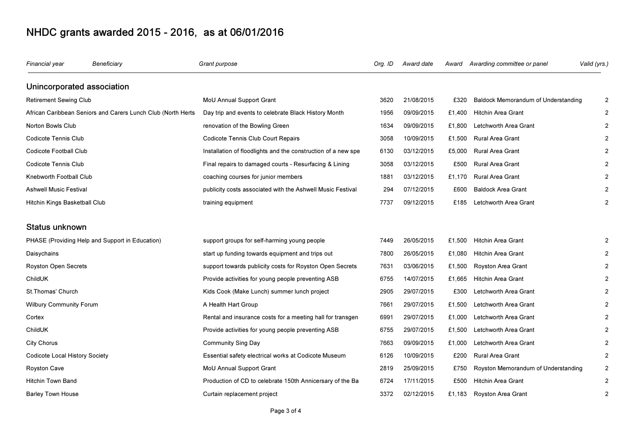| Financial year                                               | Beneficiary                                     | Grant purpose                                                 | Org. ID | Award date | Award  | Awarding committee or panel         | (yrs.) |
|--------------------------------------------------------------|-------------------------------------------------|---------------------------------------------------------------|---------|------------|--------|-------------------------------------|--------|
| Unincorporated association                                   |                                                 |                                                               |         |            |        |                                     |        |
| Retirement Sewing Club                                       |                                                 | MoU Annual Support Grant                                      | 3620    | 21/08/2015 | £320   | Baldock Memorandum of Understanding |        |
| African Caribbean Seniors and Carers Lunch Club (North Herts |                                                 | Day trip and events to celebrate Black History Month          | 1956    | 09/09/2015 | £1,400 | <b>Hitchin Area Grant</b>           |        |
| Norton Bowls Club                                            |                                                 | renovation of the Bowling Green                               | 1634    | 09/09/2015 | £1,800 | Letchworth Area Grant               |        |
| Codicote Tennis Club                                         |                                                 | Codicote Tennis Club Court Repairs                            | 3058    | 10/09/2015 | £1,500 | Rural Area Grant                    |        |
| Codicote Football Club                                       |                                                 | Installation of floodlights and the construction of a new spe | 6130    | 03/12/2015 | £5,000 | <b>Rural Area Grant</b>             |        |
| Codicote Tennis Club                                         |                                                 | Final repairs to damaged courts - Resurfacing & Lining        | 3058    | 03/12/2015 | £500   | Rural Area Grant                    |        |
| Knebworth Football Club                                      |                                                 | coaching courses for junior members                           | 1881    | 03/12/2015 | £1,170 | Rural Area Grant                    |        |
| <b>Ashwell Music Festival</b>                                |                                                 | publicity costs associated with the Ashwell Music Festival    | 294     | 07/12/2015 | £600   | <b>Baldock Area Grant</b>           |        |
| Hitchin Kings Basketball Club                                |                                                 | training equipment                                            | 7737    | 09/12/2015 | £185   | Letchworth Area Grant               |        |
| Status unknown                                               |                                                 |                                                               |         |            |        |                                     |        |
|                                                              | PHASE (Providing Help and Support in Education) | support groups for self-harming young people                  | 7449    | 26/05/2015 | £1,500 | <b>Hitchin Area Grant</b>           |        |
| Daisychains                                                  |                                                 | start up funding towards equipment and trips out              | 7800    | 26/05/2015 | £1,080 | Hitchin Area Grant                  |        |
| <b>Royston Open Secrets</b>                                  |                                                 | support towards publicity costs for Royston Open Secrets      | 7631    | 03/06/2015 | £1,500 | Royston Area Grant                  |        |
| ChildUK                                                      |                                                 | Provide activities for young people preventing ASB            | 6755    | 14/07/2015 | £1,665 | <b>Hitchin Area Grant</b>           |        |
| St. Thomas' Church                                           |                                                 | Kids Cook (Make Lunch) summer lunch project                   | 2905    | 29/07/2015 | £300   | Letchworth Area Grant               |        |
| <b>Wilbury Community Forum</b>                               |                                                 | A Health Hart Group                                           | 7661    | 29/07/2015 | £1,500 | Letchworth Area Grant               |        |
| Cortex                                                       |                                                 | Rental and insurance costs for a meeting hall for transgen    | 6991    | 29/07/2015 | £1,000 | Letchworth Area Grant               |        |
| ChildUK                                                      |                                                 | Provide activities for young people preventing ASB            | 6755    | 29/07/2015 | £1,500 | Letchworth Area Grant               |        |
| <b>City Chorus</b>                                           |                                                 | Community Sing Day                                            | 7663    | 09/09/2015 | £1,000 | Letchworth Area Grant               |        |
| Codicote Local History Society                               |                                                 | Essential safety electrical works at Codicote Museum          | 6126    | 10/09/2015 | £200   | Rural Area Grant                    |        |
| <b>Royston Cave</b>                                          |                                                 | MoU Annual Support Grant                                      | 2819    | 25/09/2015 | £750   | Royston Memorandum of Understanding |        |
| <b>Hitchin Town Band</b>                                     |                                                 | Production of CD to celebrate 150th Annicersary of the Ba     | 6724    | 17/11/2015 | £500   | Hitchin Area Grant                  |        |
| <b>Barley Town House</b>                                     |                                                 | Curtain replacement project                                   | 3372    | 02/12/2015 | £1,183 | Royston Area Grant                  |        |